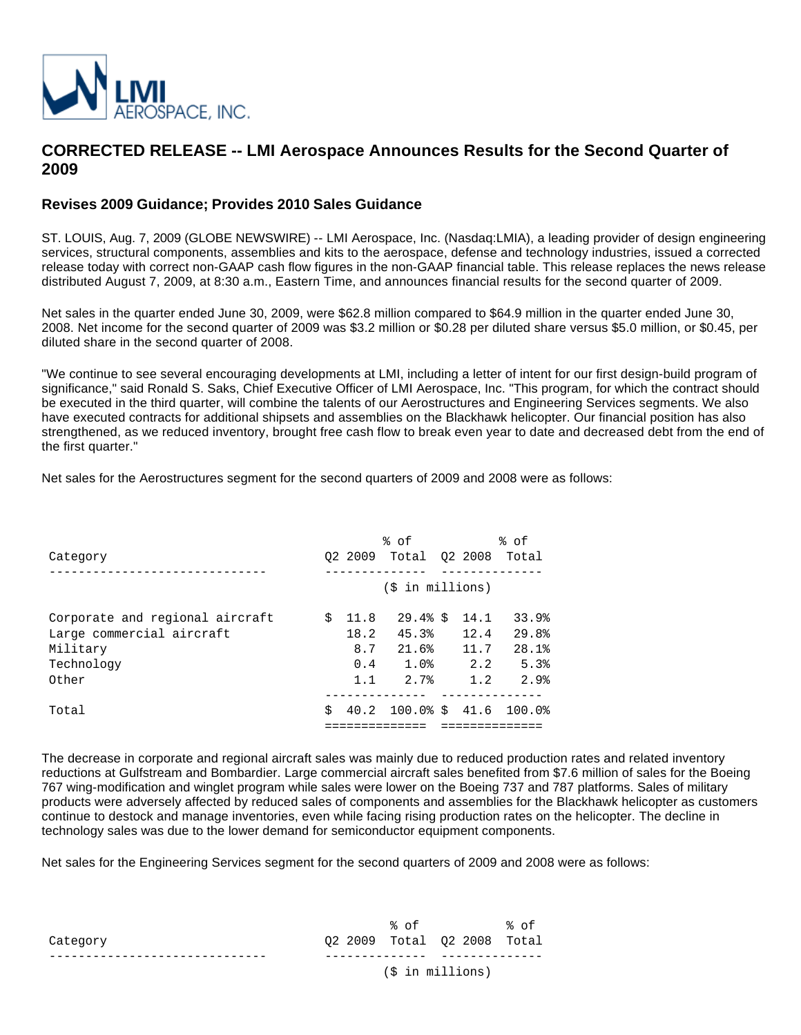

## **CORRECTED RELEASE -- LMI Aerospace Announces Results for the Second Quarter of 2009**

## **Revises 2009 Guidance; Provides 2010 Sales Guidance**

ST. LOUIS, Aug. 7, 2009 (GLOBE NEWSWIRE) -- LMI Aerospace, Inc. (Nasdaq:LMIA), a leading provider of design engineering services, structural components, assemblies and kits to the aerospace, defense and technology industries, issued a corrected release today with correct non-GAAP cash flow figures in the non-GAAP financial table. This release replaces the news release distributed August 7, 2009, at 8:30 a.m., Eastern Time, and announces financial results for the second quarter of 2009.

Net sales in the quarter ended June 30, 2009, were \$62.8 million compared to \$64.9 million in the quarter ended June 30, 2008. Net income for the second quarter of 2009 was \$3.2 million or \$0.28 per diluted share versus \$5.0 million, or \$0.45, per diluted share in the second quarter of 2008.

"We continue to see several encouraging developments at LMI, including a letter of intent for our first design-build program of significance," said Ronald S. Saks, Chief Executive Officer of LMI Aerospace, Inc. "This program, for which the contract should be executed in the third quarter, will combine the talents of our Aerostructures and Engineering Services segments. We also have executed contracts for additional shipsets and assemblies on the Blackhawk helicopter. Our financial position has also strengthened, as we reduced inventory, brought free cash flow to break even year to date and decreased debt from the end of the first quarter."

Net sales for the Aerostructures segment for the second quarters of 2009 and 2008 were as follows:

|                                 |    |      | % of                  |      | % of                       |
|---------------------------------|----|------|-----------------------|------|----------------------------|
| Category                        |    |      | 02 2009 Total 02 2008 |      | Total                      |
|                                 |    |      |                       |      |                            |
|                                 |    |      | (\$ in millions)      |      |                            |
|                                 |    |      |                       |      |                            |
| Corporate and regional aircraft | Ŝ. | 11.8 | $29.4%$ \$            | 14.1 | 33.9%                      |
| Large commercial aircraft       |    | 18.2 | 45.3%                 | 12.4 | 29.8%                      |
| Military                        |    | 8.7  | 21.6%                 | 11.7 | 28.1%                      |
| Technology                      |    | 0.4  | 1.0%                  | 2.2  | 5.3%                       |
| Other                           |    | 1.1  | 2.7%                  | 1.2  | 2.9%                       |
|                                 |    |      |                       |      |                            |
| Total                           | Ŝ. |      |                       |      | 40.2 100.0% \$ 41.6 100.0% |
|                                 |    |      |                       |      |                            |

The decrease in corporate and regional aircraft sales was mainly due to reduced production rates and related inventory reductions at Gulfstream and Bombardier. Large commercial aircraft sales benefited from \$7.6 million of sales for the Boeing 767 wing-modification and winglet program while sales were lower on the Boeing 737 and 787 platforms. Sales of military products were adversely affected by reduced sales of components and assemblies for the Blackhawk helicopter as customers continue to destock and manage inventories, even while facing rising production rates on the helicopter. The decline in technology sales was due to the lower demand for semiconductor equipment components.

Net sales for the Engineering Services segment for the second quarters of 2009 and 2008 were as follows:

|          | °ະດf                             | ്റf |
|----------|----------------------------------|-----|
| Category | 02  2009  Total  02  2008  Total |     |
|          |                                  |     |
|          | (\$ in millions)                 |     |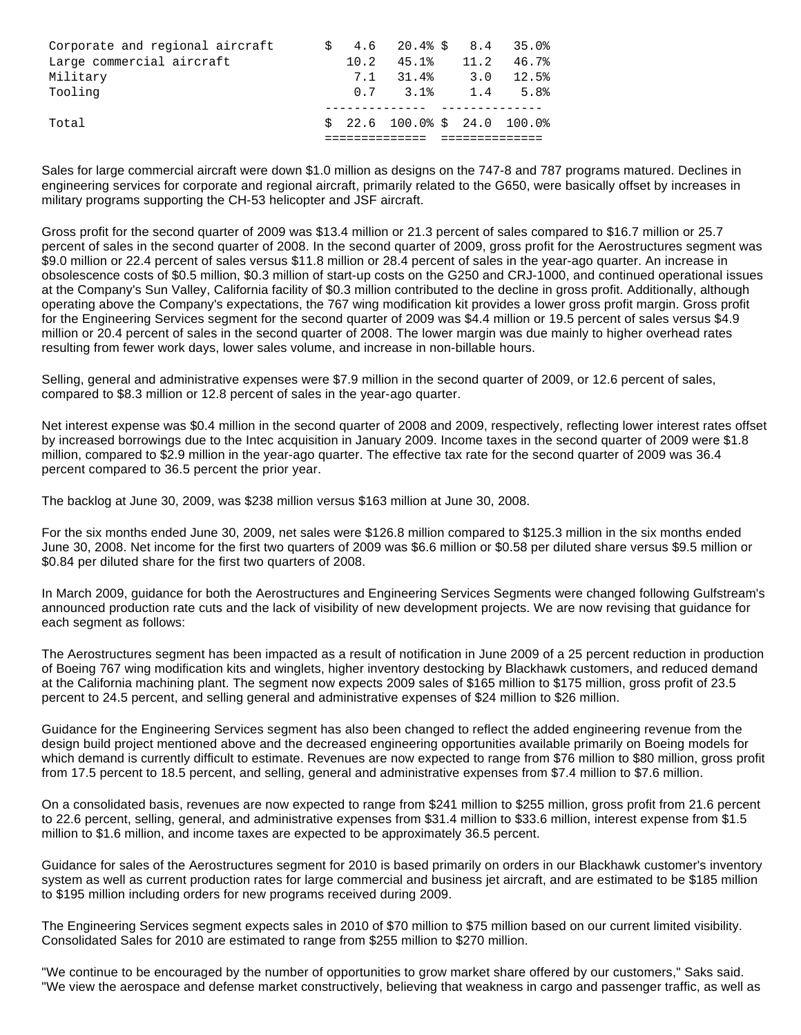| Corporate and regional aircraft |      | $$4.6$ 20.4% \$ 8.4           |      | 35.0% |
|---------------------------------|------|-------------------------------|------|-------|
| Large commercial aircraft       | 10.2 | 45.1%                         | 11.2 | 46.7% |
| Military                        | 7.1  | 31.4%                         | 3.0  | 12.5% |
| Tooling                         |      | $0.7$ 3.1                     | 1.4  | 5.8%  |
|                                 |      |                               |      |       |
| Total                           |      | $$22.6$ 100.0% \$ 24.0 100.0% |      |       |
|                                 |      |                               |      |       |

Sales for large commercial aircraft were down \$1.0 million as designs on the 747-8 and 787 programs matured. Declines in engineering services for corporate and regional aircraft, primarily related to the G650, were basically offset by increases in military programs supporting the CH-53 helicopter and JSF aircraft.

Gross profit for the second quarter of 2009 was \$13.4 million or 21.3 percent of sales compared to \$16.7 million or 25.7 percent of sales in the second quarter of 2008. In the second quarter of 2009, gross profit for the Aerostructures segment was \$9.0 million or 22.4 percent of sales versus \$11.8 million or 28.4 percent of sales in the year-ago quarter. An increase in obsolescence costs of \$0.5 million, \$0.3 million of start-up costs on the G250 and CRJ-1000, and continued operational issues at the Company's Sun Valley, California facility of \$0.3 million contributed to the decline in gross profit. Additionally, although operating above the Company's expectations, the 767 wing modification kit provides a lower gross profit margin. Gross profit for the Engineering Services segment for the second quarter of 2009 was \$4.4 million or 19.5 percent of sales versus \$4.9 million or 20.4 percent of sales in the second quarter of 2008. The lower margin was due mainly to higher overhead rates resulting from fewer work days, lower sales volume, and increase in non-billable hours.

Selling, general and administrative expenses were \$7.9 million in the second quarter of 2009, or 12.6 percent of sales, compared to \$8.3 million or 12.8 percent of sales in the year-ago quarter.

Net interest expense was \$0.4 million in the second quarter of 2008 and 2009, respectively, reflecting lower interest rates offset by increased borrowings due to the Intec acquisition in January 2009. Income taxes in the second quarter of 2009 were \$1.8 million, compared to \$2.9 million in the year-ago quarter. The effective tax rate for the second quarter of 2009 was 36.4 percent compared to 36.5 percent the prior year.

The backlog at June 30, 2009, was \$238 million versus \$163 million at June 30, 2008.

For the six months ended June 30, 2009, net sales were \$126.8 million compared to \$125.3 million in the six months ended June 30, 2008. Net income for the first two quarters of 2009 was \$6.6 million or \$0.58 per diluted share versus \$9.5 million or \$0.84 per diluted share for the first two quarters of 2008.

In March 2009, guidance for both the Aerostructures and Engineering Services Segments were changed following Gulfstream's announced production rate cuts and the lack of visibility of new development projects. We are now revising that guidance for each segment as follows:

The Aerostructures segment has been impacted as a result of notification in June 2009 of a 25 percent reduction in production of Boeing 767 wing modification kits and winglets, higher inventory destocking by Blackhawk customers, and reduced demand at the California machining plant. The segment now expects 2009 sales of \$165 million to \$175 million, gross profit of 23.5 percent to 24.5 percent, and selling general and administrative expenses of \$24 million to \$26 million.

Guidance for the Engineering Services segment has also been changed to reflect the added engineering revenue from the design build project mentioned above and the decreased engineering opportunities available primarily on Boeing models for which demand is currently difficult to estimate. Revenues are now expected to range from \$76 million to \$80 million, gross profit from 17.5 percent to 18.5 percent, and selling, general and administrative expenses from \$7.4 million to \$7.6 million.

On a consolidated basis, revenues are now expected to range from \$241 million to \$255 million, gross profit from 21.6 percent to 22.6 percent, selling, general, and administrative expenses from \$31.4 million to \$33.6 million, interest expense from \$1.5 million to \$1.6 million, and income taxes are expected to be approximately 36.5 percent.

Guidance for sales of the Aerostructures segment for 2010 is based primarily on orders in our Blackhawk customer's inventory system as well as current production rates for large commercial and business jet aircraft, and are estimated to be \$185 million to \$195 million including orders for new programs received during 2009.

The Engineering Services segment expects sales in 2010 of \$70 million to \$75 million based on our current limited visibility. Consolidated Sales for 2010 are estimated to range from \$255 million to \$270 million.

"We continue to be encouraged by the number of opportunities to grow market share offered by our customers," Saks said. "We view the aerospace and defense market constructively, believing that weakness in cargo and passenger traffic, as well as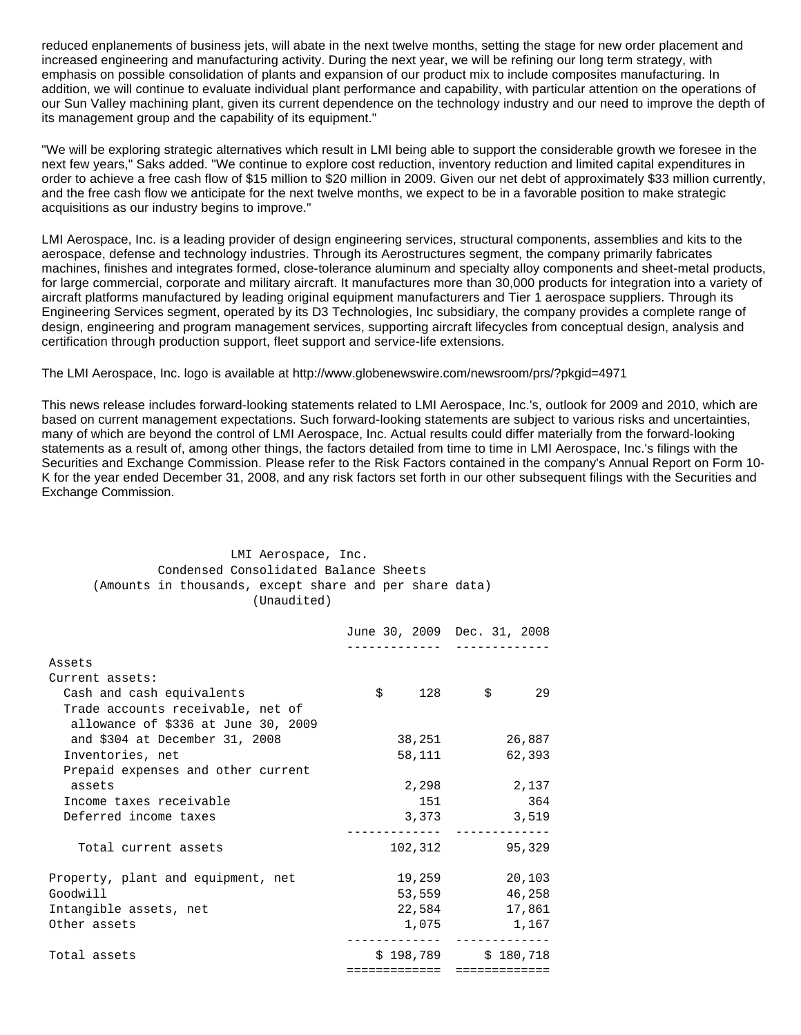reduced enplanements of business jets, will abate in the next twelve months, setting the stage for new order placement and increased engineering and manufacturing activity. During the next year, we will be refining our long term strategy, with emphasis on possible consolidation of plants and expansion of our product mix to include composites manufacturing. In addition, we will continue to evaluate individual plant performance and capability, with particular attention on the operations of our Sun Valley machining plant, given its current dependence on the technology industry and our need to improve the depth of its management group and the capability of its equipment."

"We will be exploring strategic alternatives which result in LMI being able to support the considerable growth we foresee in the next few years," Saks added. "We continue to explore cost reduction, inventory reduction and limited capital expenditures in order to achieve a free cash flow of \$15 million to \$20 million in 2009. Given our net debt of approximately \$33 million currently, and the free cash flow we anticipate for the next twelve months, we expect to be in a favorable position to make strategic acquisitions as our industry begins to improve."

LMI Aerospace, Inc. is a leading provider of design engineering services, structural components, assemblies and kits to the aerospace, defense and technology industries. Through its Aerostructures segment, the company primarily fabricates machines, finishes and integrates formed, close-tolerance aluminum and specialty alloy components and sheet-metal products, for large commercial, corporate and military aircraft. It manufactures more than 30,000 products for integration into a variety of aircraft platforms manufactured by leading original equipment manufacturers and Tier 1 aerospace suppliers. Through its Engineering Services segment, operated by its D3 Technologies, Inc subsidiary, the company provides a complete range of design, engineering and program management services, supporting aircraft lifecycles from conceptual design, analysis and certification through production support, fleet support and service-life extensions.

The LMI Aerospace, Inc. logo is available at http://www.globenewswire.com/newsroom/prs/?pkgid=4971

This news release includes forward-looking statements related to LMI Aerospace, Inc.'s, outlook for 2009 and 2010, which are based on current management expectations. Such forward-looking statements are subject to various risks and uncertainties, many of which are beyond the control of LMI Aerospace, Inc. Actual results could differ materially from the forward-looking statements as a result of, among other things, the factors detailed from time to time in LMI Aerospace, Inc.'s filings with the Securities and Exchange Commission. Please refer to the Risk Factors contained in the company's Annual Report on Form 10- K for the year ended December 31, 2008, and any risk factors set forth in our other subsequent filings with the Securities and Exchange Commission.

| LMI Aerospace, Inc.                                     |
|---------------------------------------------------------|
| Condensed Consolidated Balance Sheets                   |
| (Amounts in thousands, except share and per share data) |
| (Unaudited)                                             |

|                                     | June 30, 2009 Dec. 31, 2008 |        |                       |        |
|-------------------------------------|-----------------------------|--------|-----------------------|--------|
|                                     |                             |        |                       |        |
| Assets                              |                             |        |                       |        |
| Current assets:                     |                             |        |                       |        |
| Cash and cash equivalents           |                             |        | $\sin 128$ $\sin 5$   | 29     |
| Trade accounts receivable, net of   |                             |        |                       |        |
| allowance of \$336 at June 30, 2009 |                             |        |                       |        |
| and \$304 at December 31, 2008      |                             |        | 38,251                | 26,887 |
| Inventories, net                    |                             | 58,111 |                       | 62,393 |
| Prepaid expenses and other current  |                             |        |                       |        |
| assets                              |                             | 2,298  |                       | 2,137  |
| Income taxes receivable             |                             | 151    |                       | 364    |
| Deferred income taxes               |                             | 3,373  |                       | 3,519  |
|                                     |                             |        |                       |        |
| Total current assets                |                             |        | 102,312               | 95,329 |
|                                     |                             |        |                       |        |
| Property, plant and equipment, net  |                             | 19,259 |                       | 20,103 |
| Goodwill                            |                             |        | 53,559                | 46,258 |
| Intangible assets, net              |                             |        | 22,584                | 17,861 |
| Other assets                        |                             | 1,075  |                       | 1,167  |
| Total assets                        |                             |        | $$198,789$ $$180,718$ |        |
|                                     | =============               |        | =============         |        |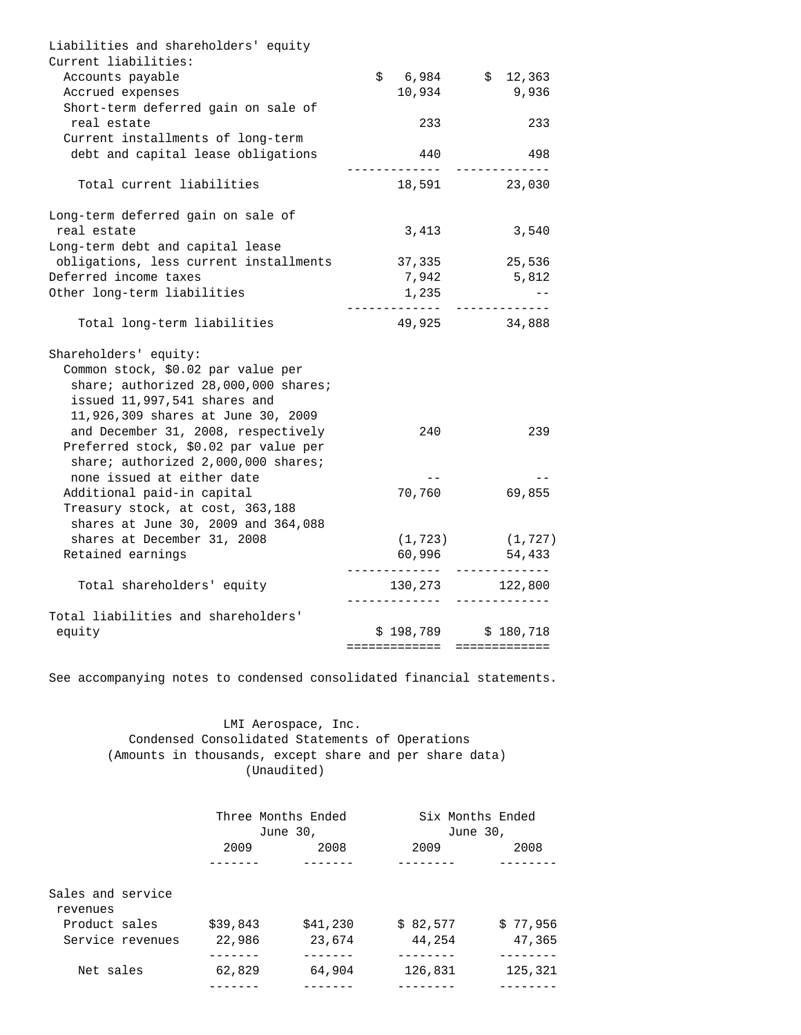| Liabilities and shareholders' equity                                                                                                                                      |                                        |                       |
|---------------------------------------------------------------------------------------------------------------------------------------------------------------------------|----------------------------------------|-----------------------|
| Current liabilities:<br>Accounts payable                                                                                                                                  | $$6,984$ $$12,363$                     |                       |
| Accrued expenses                                                                                                                                                          | 10,934                                 | 9,936                 |
| Short-term deferred gain on sale of                                                                                                                                       |                                        |                       |
| real estate                                                                                                                                                               | 233                                    | 233                   |
| Current installments of long-term                                                                                                                                         |                                        |                       |
| debt and capital lease obligations                                                                                                                                        | 440<br>. <i>.</i>                      | 498                   |
| Total current liabilities                                                                                                                                                 | 18,591                                 | 23,030                |
| Long-term deferred gain on sale of                                                                                                                                        |                                        |                       |
| real estate<br>Long-term debt and capital lease                                                                                                                           | 3,413                                  | 3,540                 |
| obligations, less current installments                                                                                                                                    | 37,335                                 | 25,536                |
| Deferred income taxes                                                                                                                                                     | 7,942                                  | 5,812                 |
| Other long-term liabilities                                                                                                                                               | 1,235                                  |                       |
| Total long-term liabilities                                                                                                                                               | 49,925                                 | 34,888                |
| Shareholders' equity:<br>Common stock, \$0.02 par value per<br>share; authorized 28,000,000 shares;<br>issued 11,997,541 shares and<br>11,926,309 shares at June 30, 2009 |                                        |                       |
| and December 31, 2008, respectively<br>Preferred stock, \$0.02 par value per<br>share; authorized 2,000,000 shares;                                                       | 240                                    | 239                   |
| none issued at either date                                                                                                                                                |                                        |                       |
| Additional paid-in capital<br>Treasury stock, at cost, 363,188<br>shares at June 30, 2009 and 364,088                                                                     | 70,760                                 | 69,855                |
| shares at December 31, 2008                                                                                                                                               |                                        | $(1, 723)$ $(1, 727)$ |
| Retained earnings                                                                                                                                                         | 60,996                                 | 54,433                |
| Total shareholders' equity                                                                                                                                                | 130,273 122,800<br>. <u>.</u>          |                       |
| Total liabilities and shareholders'                                                                                                                                       |                                        |                       |
| equity                                                                                                                                                                    | $$198,789$ $$180,718$<br>============= | =============         |

See accompanying notes to condensed consolidated financial statements.

## LMI Aerospace, Inc. Condensed Consolidated Statements of Operations (Amounts in thousands, except share and per share data) (Unaudited)

|                                                | Three Months Ended | June 30, | Six Months Ended<br>June 30, |          |
|------------------------------------------------|--------------------|----------|------------------------------|----------|
|                                                | 2009               | 2008     | 2009                         | 2008     |
|                                                |                    |          |                              |          |
| Sales and service<br>revenues<br>Product sales | \$39,843           | \$41,230 | \$82,577                     | \$77.956 |
| Service revenues                               | 22,986             | 23,674   | 44,254                       | 47,365   |
|                                                |                    |          |                              |          |
| Net sales                                      | 62,829             | 64,904   | 126,831                      | 125,321  |
|                                                |                    |          |                              |          |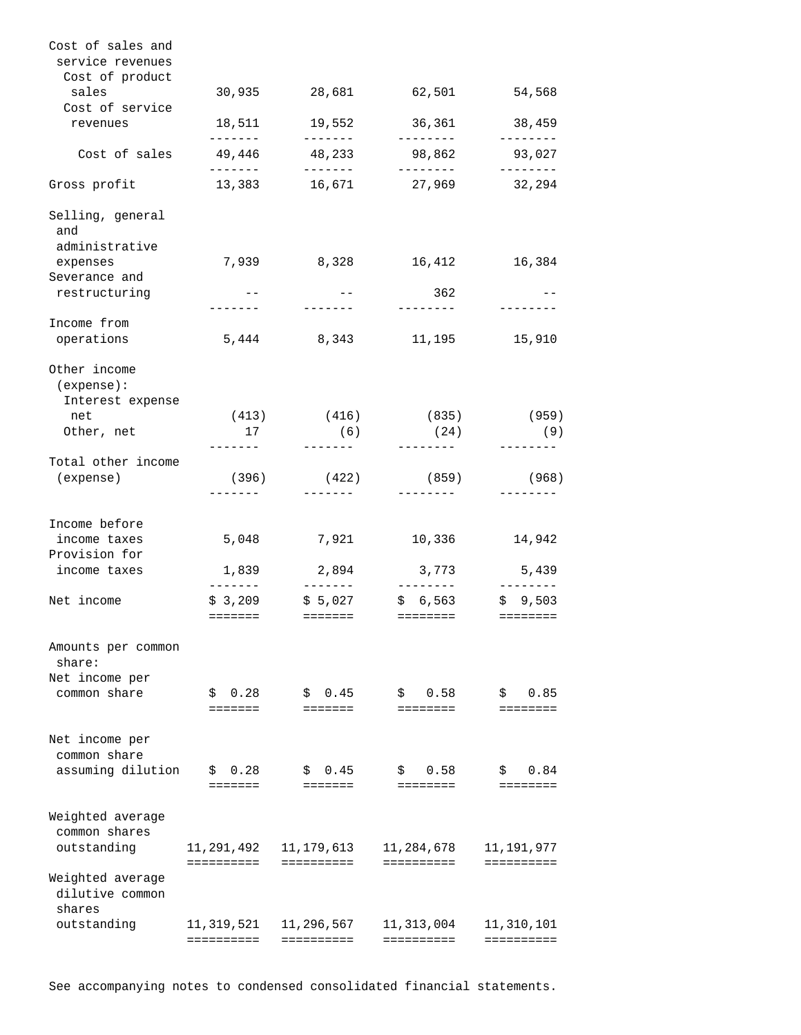| Cost of sales and<br>service revenues          |                              |                                       |                                                                                                                                |                                |
|------------------------------------------------|------------------------------|---------------------------------------|--------------------------------------------------------------------------------------------------------------------------------|--------------------------------|
| Cost of product<br>sales<br>Cost of service    | 30,935                       |                                       | 28,681 62,501                                                                                                                  | 54,568                         |
| revenues                                       |                              | 18,511 19,552                         | 36,361                                                                                                                         | 38,459                         |
| $Cost of sales$ 49,446                         | --------<br>-------          | $- - - - - - -$<br>48,233<br>-------- | --------<br>98,862<br>--------                                                                                                 | --------<br>93,027<br>-------- |
| Gross profit                                   |                              |                                       | 13,383 16,671 27,969                                                                                                           | 32,294                         |
| Selling, general<br>and<br>administrative      |                              |                                       |                                                                                                                                |                                |
| expenses                                       | 7,939                        | 8,328                                 | 16,412                                                                                                                         | 16,384                         |
| Severance and<br>restructuring                 | $- -$<br>-------             | $--$<br>$- - - - - - -$               | 362<br>--------                                                                                                                | --------                       |
| Income from                                    |                              |                                       |                                                                                                                                |                                |
| operations                                     | 5,444                        | 8,343                                 | 11,195                                                                                                                         | 15,910                         |
| Other income<br>(expense):<br>Interest expense |                              |                                       |                                                                                                                                |                                |
| net                                            | (413)                        | (416)                                 | (835)                                                                                                                          | (959)                          |
| Other, net                                     | 17<br>--------               | (6)<br>$- - - - - - -$                | (24)<br>---------                                                                                                              | (9)                            |
| Total other income<br>(expense)                | (396)<br>--------            | (422)<br>$- - - - - - -$              | (859)<br>--------                                                                                                              | (968)<br>--------              |
| Income before                                  |                              |                                       |                                                                                                                                |                                |
| income taxes<br>Provision for                  | 5,048                        | 7,921                                 | 10,336                                                                                                                         | 14,942                         |
| income taxes                                   | 1,839<br>--------            | 2,894<br>________                     | 3,773<br><u> 1999 - Alban Alban Santan Bandar Bandar Bandar Bandar Bandar Bandar Bandar Bandar Bandar Bandar Bandar Bandar</u> | 5,439                          |
| Net income                                     | $=$ = = = = = =              | $$3,209$ $$5,027$<br>__________       | \$6,563<br>========                                                                                                            | \$9,503<br>$=$ = = = = = = =   |
| Amounts per common<br>share:                   |                              |                                       |                                                                                                                                |                                |
| Net income per<br>common share                 | 0.28<br>\$<br><b>EEEEEEE</b> | \$0.45<br>=======                     | 0.58<br>\$<br>========                                                                                                         | 0.85<br>\$<br>========         |
| Net income per<br>common share                 |                              |                                       |                                                                                                                                |                                |
| assuming dilution                              | \$0.28<br>$=$ = = = = = =    | \$0.45<br><b>EEEEEEE</b>              | \$0.58<br>========                                                                                                             | 0.84<br>\$<br>========         |
| Weighted average<br>common shares              |                              |                                       |                                                                                                                                | 11, 191, 977                   |
| outstanding                                    | 11,291,492<br>==========     | 11,179,613<br>==========              | 11,284,678<br>==========                                                                                                       | ==========                     |
| Weighted average<br>dilutive common<br>shares  |                              |                                       |                                                                                                                                |                                |
| outstanding                                    | 11,319,521<br>==========     | 11,296,567<br>==========              | 11,313,004<br>==========                                                                                                       | 11,310,101<br>==========       |

See accompanying notes to condensed consolidated financial statements.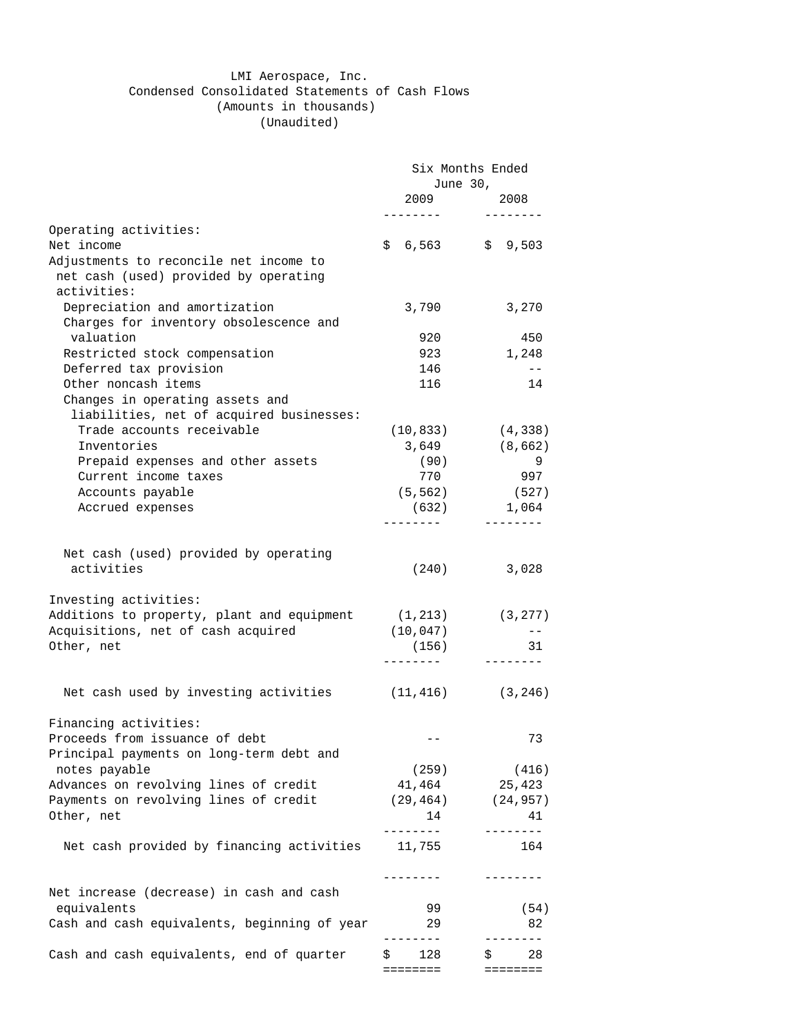## LMI Aerospace, Inc. Condensed Consolidated Statements of Cash Flows (Amounts in thousands)

(Unaudited)

|                                                              | Six Months Ended  |                         |  |  |
|--------------------------------------------------------------|-------------------|-------------------------|--|--|
|                                                              |                   | June 30,                |  |  |
|                                                              | 2009              | 2008<br>--------        |  |  |
| Operating activities:                                        |                   |                         |  |  |
| Net income                                                   | $$6,563$ $$9,503$ |                         |  |  |
| Adjustments to reconcile net income to                       |                   |                         |  |  |
| net cash (used) provided by operating                        |                   |                         |  |  |
| activities:                                                  |                   |                         |  |  |
| Depreciation and amortization                                | 3,790             | 3,270                   |  |  |
| Charges for inventory obsolescence and                       |                   |                         |  |  |
| valuation                                                    | 920               | 450                     |  |  |
| Restricted stock compensation                                | 923               | 1,248                   |  |  |
| Deferred tax provision                                       | 146               | $- \, -$                |  |  |
| Other noncash items                                          | 116               | 14                      |  |  |
| Changes in operating assets and                              |                   |                         |  |  |
| liabilities, net of acquired businesses:                     |                   |                         |  |  |
| Trade accounts receivable                                    | (10, 833)         | (4, 338)                |  |  |
| Inventories                                                  | 3,649             | (8,662)                 |  |  |
| Prepaid expenses and other assets                            | (90)              | 9                       |  |  |
| Current income taxes                                         | 770               | 997                     |  |  |
| Accounts payable                                             | (5, 562)          | (527)                   |  |  |
| Accrued expenses                                             | (632)             | 1,064                   |  |  |
|                                                              | - - - - - - - -   | --------                |  |  |
|                                                              |                   |                         |  |  |
| Net cash (used) provided by operating                        |                   |                         |  |  |
| activities                                                   | (240)             | 3,028                   |  |  |
|                                                              |                   |                         |  |  |
| Investing activities:                                        |                   |                         |  |  |
| Additions to property, plant and equipment                   | (1, 213)          | (3, 277)                |  |  |
| Acquisitions, net of cash acquired                           | (10, 047)         | $- -$                   |  |  |
| Other, net                                                   | (156)             | 31                      |  |  |
|                                                              | --------          | --------                |  |  |
|                                                              |                   |                         |  |  |
| Net cash used by investing activities $(11, 416)$ $(3, 246)$ |                   |                         |  |  |
|                                                              |                   |                         |  |  |
| Financing activities:                                        |                   |                         |  |  |
| Proceeds from issuance of debt                               |                   | 73                      |  |  |
| Principal payments on long-term debt and                     |                   |                         |  |  |
| notes payable                                                | (259)             | (416)                   |  |  |
| Advances on revolving lines of credit                        | 41,464            | 25,423                  |  |  |
| Payments on revolving lines of credit                        |                   | $(29, 464)$ $(24, 957)$ |  |  |
| Other, net                                                   | 14                | 41                      |  |  |
|                                                              | ---------         | --------                |  |  |
| Net cash provided by financing activities                    | 11,755            | 164                     |  |  |
|                                                              |                   |                         |  |  |
|                                                              | --------          | --------                |  |  |
| Net increase (decrease) in cash and cash                     |                   |                         |  |  |
| equivalents                                                  | 99                | (54)                    |  |  |
| Cash and cash equivalents, beginning of year                 | 29                | 82                      |  |  |
|                                                              |                   |                         |  |  |
| Cash and cash equivalents, end of quarter                    | 128<br>\$         | 28<br>\$                |  |  |
|                                                              | ========          | =====                   |  |  |